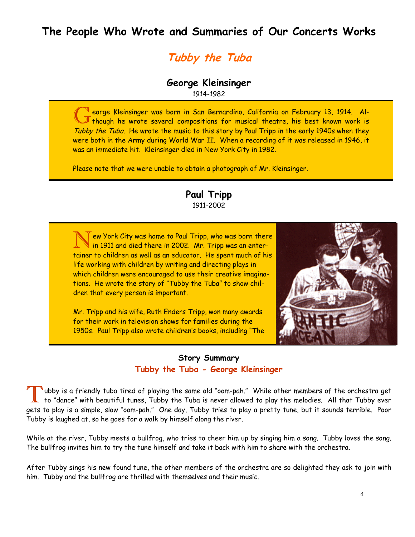# **The People Who Wrote and Summaries of Our Concerts Works**

# **Tubby the Tuba**

#### **George Kleinsinger**  1914-1982

G eorge Kleinsinger was born in San Bernardino, California on February 13, 1914. Al-<br>
Though he wrote several compositions for musical theatre, his best known work is Tubby the Tuba. He wrote the music to this story by Paul Tripp in the early 1940s when they were both in the Army during World War II. When a recording of it was released in 1946, it was an immediate hit. Kleinsinger died in New York City in 1982.

Please note that we were unable to obtain a photograph of Mr. Kleinsinger.

#### **Paul Tripp**  1911-2002

 $\bar{\Upsilon}$ ew York City was home to Paul Tripp, who was born there  $\,$  in 1911 and died there in 2002. Mr. Tripp was an entertainer to children as well as an educator. He spent much of his life working with children by writing and directing plays in which children were encouraged to use their creative imaginations. He wrote the story of "Tubby the Tuba" to show children that every person is important.

Mr. Tripp and his wife, Ruth Enders Tripp, won many awards for their work in television shows for families during the 1950s. Paul Tripp also wrote children's books, including "The

#### **Story Summary Tubby the Tuba - George Kleinsinger**

ubby is a friendly tuba tired of playing the same old "oom-pah." While other members of the orchestra get to "dance" with beautiful tunes, Tubby the Tuba is never allowed to play the melodies. All that Tubby ever gets to play is a simple, slow "oom-pah." One day, Tubby tries to play a pretty tune, but it sounds terrible. Poor Tubby is laughed at, so he goes for a walk by himself along the river.

While at the river, Tubby meets a bullfrog, who tries to cheer him up by singing him a song. Tubby loves the song. The bullfrog invites him to try the tune himself and take it back with him to share with the orchestra.

After Tubby sings his new found tune, the other members of the orchestra are so delighted they ask to join with him. Tubby and the bullfrog are thrilled with themselves and their music.